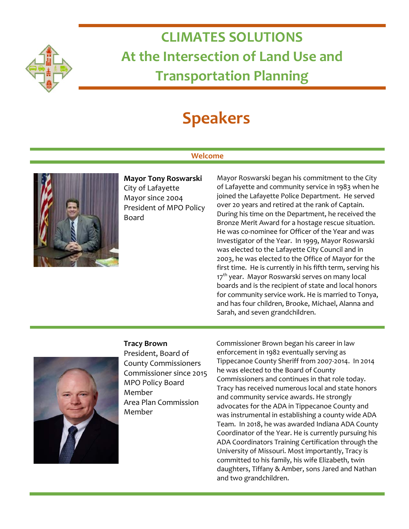

# **CLIMATES SOLUTIONS At the Intersection of Land Use and Transportation Planning**

# **Speakers**

# **Welcome**



**Mayor Tony Roswarski** City of Lafayette Mayor since 2004 President of MPO Policy Board

Mayor Roswarski began his commitment to the City of Lafayette and community service in 1983 when he joined the Lafayette Police Department. He served over 20 years and retired at the rank of Captain. During his time on the Department, he received the Bronze Merit Award for a hostage rescue situation. He was co-nominee for Officer of the Year and was Investigator of the Year. In 1999, Mayor Roswarski was elected to the Lafayette City Council and in 2003, he was elected to the Office of Mayor for the first time. He is currently in his fifth term, serving his 17<sup>th</sup> year. Mayor Roswarski serves on many local boards and is the recipient of state and local honors for community service work. He is married to Tonya, and has four children, Brooke, Michael, Alanna and Sarah, and seven grandchildren.



### **Tracy Brown**

President, Board of County Commissioners Commissioner since 2015 MPO Policy Board Member Area Plan Commission Member

Commissioner Brown began his career in law enforcement in 1982 eventually serving as Tippecanoe County Sheriff from 2007-2014. In 2014 he was elected to the Board of County Commissioners and continues in that role today. Tracy has received numerous local and state honors and community service awards. He strongly advocates for the ADA in Tippecanoe County and was instrumental in establishing a county wide ADA Team. In 2018, he was awarded Indiana ADA County Coordinator of the Year. He is currently pursuing his ADA Coordinators Training Certification through the University of Missouri. Most importantly, Tracy is committed to his family, his wife Elizabeth, twin daughters, Tiffany & Amber, sons Jared and Nathan and two grandchildren.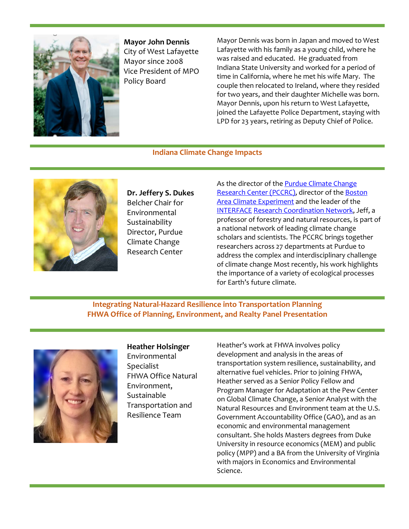

**Mayor John Dennis** City of West Lafayette Mayor since 2008 Vice President of MPO Policy Board

Mayor Dennis was born in Japan and moved to West Lafayette with his family as a young child, where he was raised and educated. He graduated from Indiana State University and worked for a period of time in California, where he met his wife Mary. The couple then relocated to Ireland, where they resided for two years, and their daughter Michelle was born. Mayor Dennis, upon his return to West Lafayette, joined the Lafayette Police Department, staying with LPD for 23 years, retiring as Deputy Chief of Police.

### **Indiana Climate Change Impacts**



**Dr. Jeffery S. Dukes** Belcher Chair for Environmental Sustainability Director, Purdue Climate Change Research Center

As the director of the **Purdue Climate Change** [Research Center \(PCCRC\),](http://www.purdue.edu/discoverypark/climate/people/faculty-affiliates.php) director of the [Boston](http://web.ics.purdue.edu/%7Ejsdukes/bace.html)  [Area Climate Experiment](http://web.ics.purdue.edu/%7Ejsdukes/bace.html) and the leader of the [INTERFACE](https://www.bio.purdue.edu/INTERFACE/index.php) [Research Coordination Network,](https://www.bio.purdue.edu/INTERFACE/index.php) Jeff, a professor of forestry and natural resources, is part of a national network of leading climate change scholars and scientists. The PCCRC brings together researchers across 27 departments at Purdue to address the complex and interdisciplinary challenge of climate change Most recently, his work highlights the importance of a variety of ecological processes for Earth's future climate.

## **Integrating Natural-Hazard Resilience into Transportation Planning FHWA Office of Planning, Environment, and Realty Panel Presentation**



**Heather Holsinger** Environmental **Specialist** FHWA Office Natural Environment, Sustainable Transportation and Resilience Team

Heather's work at FHWA involves policy development and analysis in the areas of transportation system resilience, sustainability, and alternative fuel vehicles. Prior to joining FHWA, Heather served as a Senior Policy Fellow and Program Manager for Adaptation at the Pew Center on Global Climate Change, a Senior Analyst with the Natural Resources and Environment team at the U.S. Government Accountability Office (GAO), and as an economic and environmental management consultant. She holds Masters degrees from Duke University in resource economics (MEM) and public policy (MPP) and a BA from the University of Virginia with majors in Economics and Environmental Science.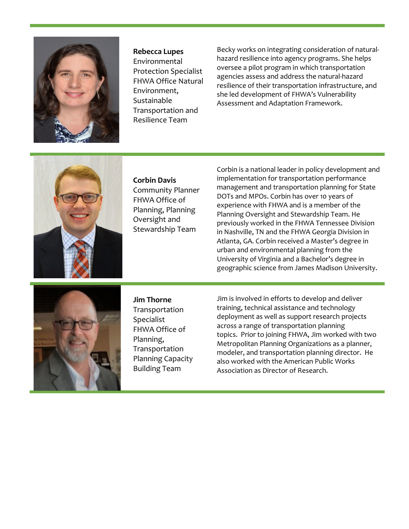

**Rebecca Lupes**  Environmental Protection Specialist FHWA Office Natural Environment, Sustainable Transportation and Resilience Team

Becky works on integrating consideration of naturalhazard resilience into agency programs. She helps oversee a pilot program in which transportation agencies assess and address the natural-hazard resilience of their transportation infrastructure, and she led development of FHWA's Vulnerability Assessment and Adaptation Framework.



**Corbin Davis**  Community Planner FHWA Office of Planning, Planning Oversight and Stewardship Team

Corbin is a national leader in policy development and implementation for transportation performance management and transportation planning for State DOTs and MPOs. Corbin has over 10 years of experience with FHWA and is a member of the Planning Oversight and Stewardship Team. He previously worked in the FHWA Tennessee Division in Nashville, TN and the FHWA Georgia Division in Atlanta, GA. Corbin received a Master's degree in urban and environmental planning from the University of Virginia and a Bachelor's degree in geographic science from James Madison University.



**Jim Thorne**  Transportation Specialist FHWA Office of Planning, Transportation Planning Capacity Building Team

Jim is involved in efforts to develop and deliver training, technical assistance and technology deployment as well as support research projects across a range of transportation planning topics. Prior to joining FHWA, Jim worked with two Metropolitan Planning Organizations as a planner, modeler, and transportation planning director. He also worked with the American Public Works Association as Director of Research.